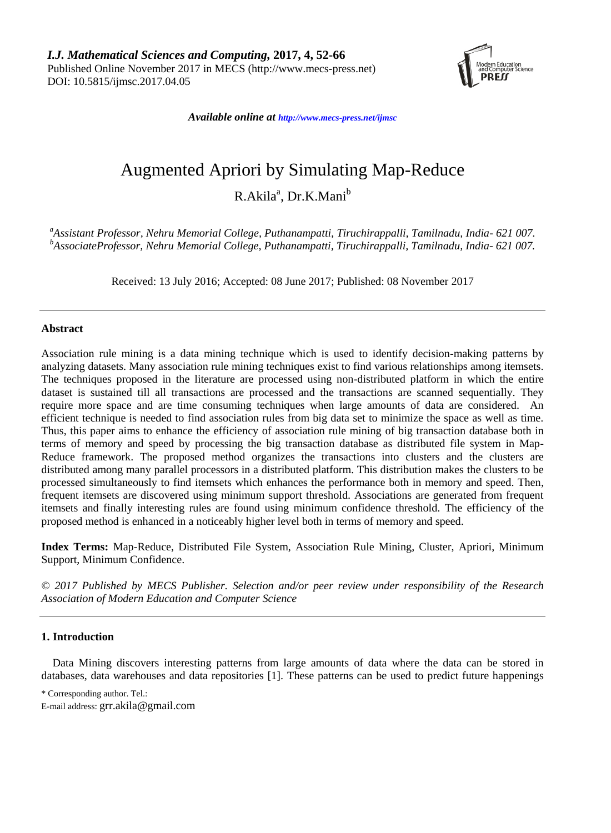*I.J. Mathematical Sciences and Computing,* **2017, 4, 52-66** Published Online November 2017 in MECS (http://www.mecs-press.net) DOI: 10.5815/ijmsc.2017.04.05



*Available online at [http://www.mecs-press.net/ijm](http://www.mecs-press.net/ijwmt)sc*

# Augmented Apriori by Simulating Map-Reduce

R.Akila<sup>a</sup>, Dr.K.Mani<sup>b</sup>

*<sup>a</sup>Assistant Professor, Nehru Memorial College, Puthanampatti, Tiruchirappalli, Tamilnadu, India- 621 007. <sup>b</sup>AssociateProfessor, Nehru Memorial College, Puthanampatti, Tiruchirappalli, Tamilnadu, India- 621 007.* 

Received: 13 July 2016; Accepted: 08 June 2017; Published: 08 November 2017

# **Abstract**

Association rule mining is a data mining technique which is used to identify decision-making patterns by analyzing datasets. Many association rule mining techniques exist to find various relationships among itemsets. The techniques proposed in the literature are processed using non-distributed platform in which the entire dataset is sustained till all transactions are processed and the transactions are scanned sequentially. They require more space and are time consuming techniques when large amounts of data are considered. An efficient technique is needed to find association rules from big data set to minimize the space as well as time. Thus, this paper aims to enhance the efficiency of association rule mining of big transaction database both in terms of memory and speed by processing the big transaction database as distributed file system in Map-Reduce framework. The proposed method organizes the transactions into clusters and the clusters are distributed among many parallel processors in a distributed platform. This distribution makes the clusters to be processed simultaneously to find itemsets which enhances the performance both in memory and speed. Then, frequent itemsets are discovered using minimum support threshold. Associations are generated from frequent itemsets and finally interesting rules are found using minimum confidence threshold. The efficiency of the proposed method is enhanced in a noticeably higher level both in terms of memory and speed.

**Index Terms:** Map-Reduce, Distributed File System, Association Rule Mining, Cluster, Apriori, Minimum Support, Minimum Confidence.

*© 2017 Published by MECS Publisher. Selection and/or peer review under responsibility of the Research Association of Modern Education and Computer Science*

## **1. Introduction**

Data Mining discovers interesting patterns from large amounts of data where the data can be stored in databases, data warehouses and data repositories [1]. These patterns can be used to predict future happenings

<sup>\*</sup> Corresponding author. Tel.:

E-mail address: [grr.akila@gmail.com](mailto:grr.akila@gmail.com)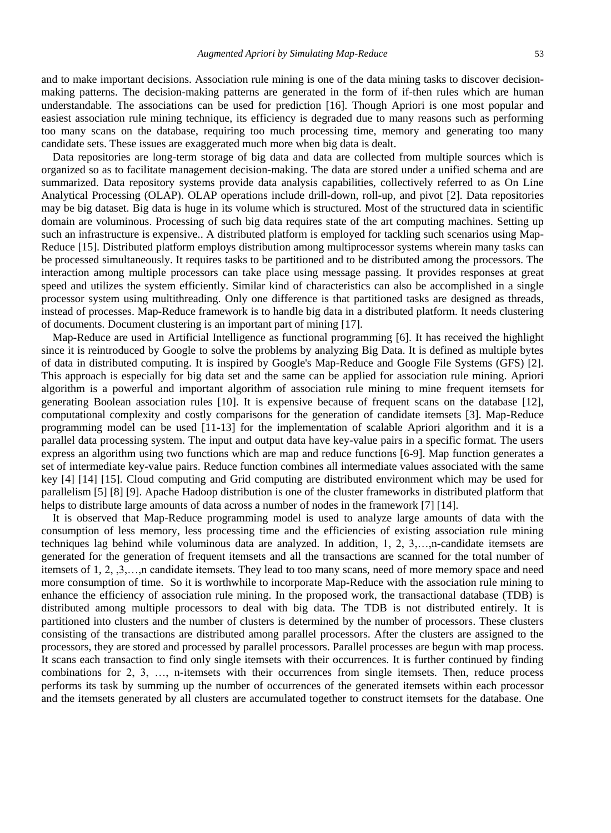and to make important decisions. Association rule mining is one of the data mining tasks to discover decisionmaking patterns. The decision-making patterns are generated in the form of if-then rules which are human understandable. The associations can be used for prediction [16]. Though Apriori is one most popular and easiest association rule mining technique, its efficiency is degraded due to many reasons such as performing too many scans on the database, requiring too much processing time, memory and generating too many candidate sets. These issues are exaggerated much more when big data is dealt.

Data repositories are long-term storage of big data and data are collected from multiple sources which is organized so as to facilitate management decision-making. The data are stored under a unified schema and are summarized. Data repository systems provide data analysis capabilities, collectively referred to as On Line Analytical Processing (OLAP). OLAP operations include drill-down, roll-up, and pivot [2]. Data repositories may be big dataset. Big data is huge in its volume which is structured. Most of the structured data in scientific domain are voluminous. Processing of such big data requires state of the art computing machines. Setting up such an infrastructure is expensive.. A distributed platform is employed for tackling such scenarios using Map-Reduce [15]. Distributed platform employs distribution among multiprocessor systems wherein many tasks can be processed simultaneously. It requires tasks to be partitioned and to be distributed among the processors. The interaction among multiple processors can take place using message passing. It provides responses at great speed and utilizes the system efficiently. Similar kind of characteristics can also be accomplished in a single processor system using multithreading. Only one difference is that partitioned tasks are designed as threads, instead of processes. Map-Reduce framework is to handle big data in a distributed platform. It needs clustering of documents. Document clustering is an important part of mining [17].

Map-Reduce are used in Artificial Intelligence as functional programming [6]. It has received the highlight since it is reintroduced by Google to solve the problems by analyzing Big Data. It is defined as multiple bytes of data in distributed computing. It is inspired by Google's Map-Reduce and Google File Systems (GFS) [2]. This approach is especially for big data set and the same can be applied for association rule mining. Apriori algorithm is a powerful and important algorithm of association rule mining to mine frequent itemsets for generating Boolean association rules [10]. It is expensive because of frequent scans on the database [12], computational complexity and costly comparisons for the generation of candidate itemsets [3]. Map-Reduce programming model can be used [11-13] for the implementation of scalable Apriori algorithm and it is a parallel data processing system. The input and output data have key-value pairs in a specific format. The users express an algorithm using two functions which are map and reduce functions [6-9]. Map function generates a set of intermediate key-value pairs. Reduce function combines all intermediate values associated with the same key [4] [14] [15]. Cloud computing and Grid computing are distributed environment which may be used for parallelism [5] [8] [9]. Apache Hadoop distribution is one of the cluster frameworks in distributed platform that helps to distribute large amounts of data across a number of nodes in the framework [7] [14].

It is observed that Map-Reduce programming model is used to analyze large amounts of data with the consumption of less memory, less processing time and the efficiencies of existing association rule mining techniques lag behind while voluminous data are analyzed. In addition,  $1, 2, 3, \ldots$ ,n-candidate itemsets are generated for the generation of frequent itemsets and all the transactions are scanned for the total number of itemsets of 1, 2, ,3,…,n candidate itemsets. They lead to too many scans, need of more memory space and need more consumption of time. So it is worthwhile to incorporate Map-Reduce with the association rule mining to enhance the efficiency of association rule mining. In the proposed work, the transactional database (TDB) is distributed among multiple processors to deal with big data. The TDB is not distributed entirely. It is partitioned into clusters and the number of clusters is determined by the number of processors. These clusters consisting of the transactions are distributed among parallel processors. After the clusters are assigned to the processors, they are stored and processed by parallel processors. Parallel processes are begun with map process. It scans each transaction to find only single itemsets with their occurrences. It is further continued by finding combinations for 2, 3, …, n-itemsets with their occurrences from single itemsets. Then, reduce process performs its task by summing up the number of occurrences of the generated itemsets within each processor and the itemsets generated by all clusters are accumulated together to construct itemsets for the database. One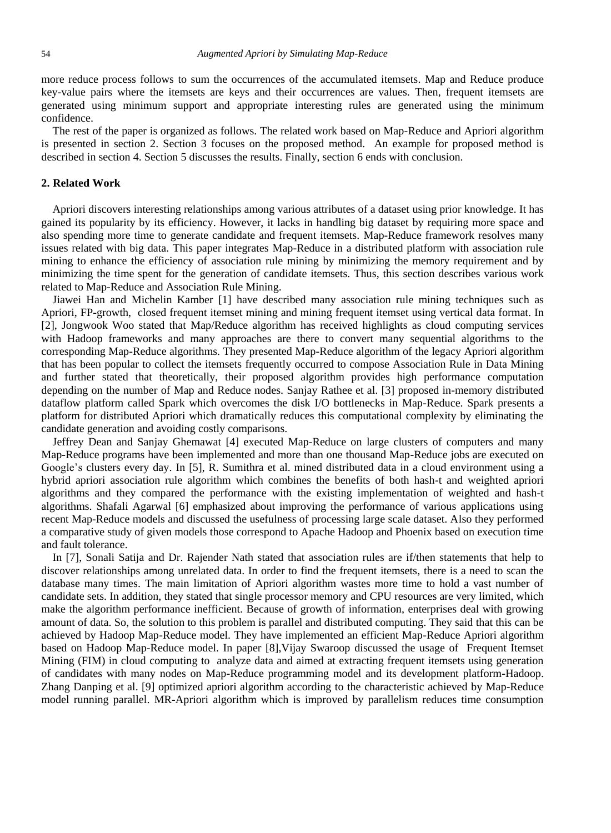more reduce process follows to sum the occurrences of the accumulated itemsets. Map and Reduce produce key-value pairs where the itemsets are keys and their occurrences are values. Then, frequent itemsets are generated using minimum support and appropriate interesting rules are generated using the minimum confidence.

The rest of the paper is organized as follows. The related work based on Map-Reduce and Apriori algorithm is presented in section 2. Section 3 focuses on the proposed method. An example for proposed method is described in section 4. Section 5 discusses the results. Finally, section 6 ends with conclusion.

## **2. Related Work**

Apriori discovers interesting relationships among various attributes of a dataset using prior knowledge. It has gained its popularity by its efficiency. However, it lacks in handling big dataset by requiring more space and also spending more time to generate candidate and frequent itemsets. Map-Reduce framework resolves many issues related with big data. This paper integrates Map-Reduce in a distributed platform with association rule mining to enhance the efficiency of association rule mining by minimizing the memory requirement and by minimizing the time spent for the generation of candidate itemsets. Thus, this section describes various work related to Map-Reduce and Association Rule Mining.

Jiawei Han and Michelin Kamber [1] have described many association rule mining techniques such as Apriori, FP-growth, closed frequent itemset mining and mining frequent itemset using vertical data format. In [2], Jongwook Woo stated that Map/Reduce algorithm has received highlights as cloud computing services with Hadoop frameworks and many approaches are there to convert many sequential algorithms to the corresponding Map-Reduce algorithms. They presented Map-Reduce algorithm of the legacy Apriori algorithm that has been popular to collect the itemsets frequently occurred to compose Association Rule in Data Mining and further stated that theoretically, their proposed algorithm provides high performance computation depending on the number of Map and Reduce nodes. Sanjay Rathee et al. [3] proposed in-memory distributed dataflow platform called Spark which overcomes the disk I/O bottlenecks in Map-Reduce. Spark presents a platform for distributed Apriori which dramatically reduces this computational complexity by eliminating the candidate generation and avoiding costly comparisons.

Jeffrey Dean and Sanjay Ghemawat [4] executed Map-Reduce on large clusters of computers and many Map-Reduce programs have been implemented and more than one thousand Map-Reduce jobs are executed on Google's clusters every day. In [5], R. Sumithra et al. mined distributed data in a cloud environment using a hybrid apriori association rule algorithm which combines the benefits of both hash-t and weighted apriori algorithms and they compared the performance with the existing implementation of weighted and hash-t algorithms. Shafali Agarwal [6] emphasized about improving the performance of various applications using recent Map-Reduce models and discussed the usefulness of processing large scale dataset. Also they performed a comparative study of given models those correspond to Apache Hadoop and Phoenix based on execution time and fault tolerance.

In [7], Sonali Satija and Dr. Rajender Nath stated that association rules are if/then statements that help to discover relationships among unrelated data. In order to find the frequent itemsets, there is a need to scan the database many times. The main limitation of Apriori algorithm wastes more time to hold a vast number of candidate sets. In addition, they stated that single processor memory and CPU resources are very limited, which make the algorithm performance inefficient. Because of growth of information, enterprises deal with growing amount of data. So, the solution to this problem is parallel and distributed computing. They said that this can be achieved by Hadoop Map-Reduce model. They have implemented an efficient Map-Reduce Apriori algorithm based on Hadoop Map-Reduce model. In paper [8],Vijay Swaroop discussed the usage of Frequent Itemset Mining (FIM) in cloud computing to analyze data and aimed at extracting frequent itemsets using generation of candidates with many nodes on Map-Reduce programming model and its development platform-Hadoop. Zhang Danping et al. [9] optimized apriori algorithm according to the characteristic achieved by Map-Reduce model running parallel. MR-Apriori algorithm which is improved by parallelism reduces time consumption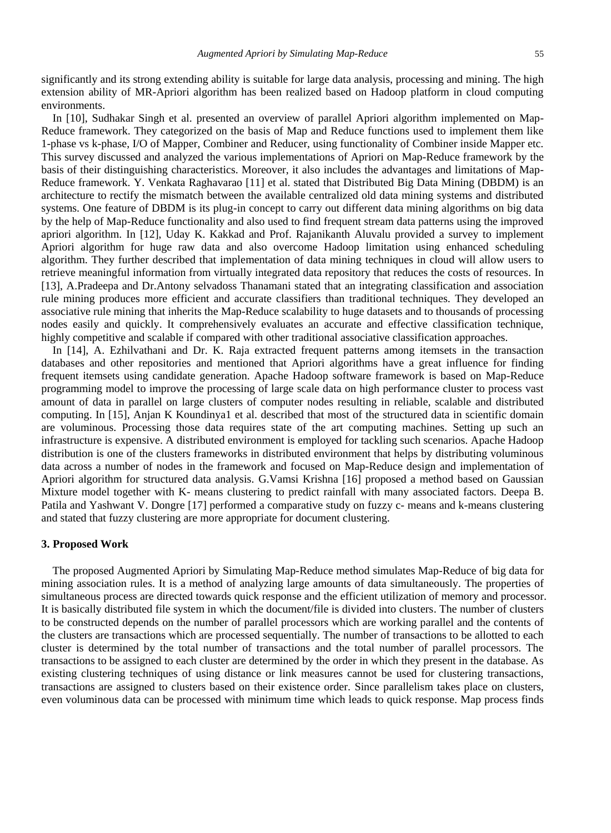significantly and its strong extending ability is suitable for large data analysis, processing and mining. The high extension ability of MR-Apriori algorithm has been realized based on Hadoop platform in cloud computing environments.

In [10], Sudhakar Singh et al. presented an overview of parallel Apriori algorithm implemented on Map-Reduce framework. They categorized on the basis of Map and Reduce functions used to implement them like 1-phase vs k-phase, I/O of Mapper, Combiner and Reducer, using functionality of Combiner inside Mapper etc. This survey discussed and analyzed the various implementations of Apriori on Map-Reduce framework by the basis of their distinguishing characteristics. Moreover, it also includes the advantages and limitations of Map-Reduce framework. Y. Venkata Raghavarao [11] et al. stated that Distributed Big Data Mining (DBDM) is an architecture to rectify the mismatch between the available centralized old data mining systems and distributed systems. One feature of DBDM is its plug-in concept to carry out different data mining algorithms on big data by the help of Map-Reduce functionality and also used to find frequent stream data patterns using the improved apriori algorithm. In [12], Uday K. Kakkad and Prof. Rajanikanth Aluvalu provided a survey to implement Apriori algorithm for huge raw data and also overcome Hadoop limitation using enhanced scheduling algorithm. They further described that implementation of data mining techniques in cloud will allow users to retrieve meaningful information from virtually integrated data repository that reduces the costs of resources*.* In [13], A.Pradeepa and Dr.Antony selvadoss Thanamani stated that an integrating classification and association rule mining produces more efficient and accurate classifiers than traditional techniques. They developed an associative rule mining that inherits the Map-Reduce scalability to huge datasets and to thousands of processing nodes easily and quickly. It comprehensively evaluates an accurate and effective classification technique, highly competitive and scalable if compared with other traditional associative classification approaches.

In [14], A. Ezhilvathani and Dr. K. Raja extracted frequent patterns among itemsets in the transaction databases and other repositories and mentioned that Apriori algorithms have a great influence for finding frequent itemsets using candidate generation. Apache Hadoop software framework is based on Map-Reduce programming model to improve the processing of large scale data on high performance cluster to process vast amount of data in parallel on large clusters of computer nodes resulting in reliable, scalable and distributed computing. In [15], Anjan K Koundinya1 et al. described that most of the structured data in scientific domain are voluminous. Processing those data requires state of the art computing machines. Setting up such an infrastructure is expensive. A distributed environment is employed for tackling such scenarios. Apache Hadoop distribution is one of the clusters frameworks in distributed environment that helps by distributing voluminous data across a number of nodes in the framework and focused on Map-Reduce design and implementation of Apriori algorithm for structured data analysis. G.Vamsi Krishna [16] proposed a method based on Gaussian Mixture model together with K- means clustering to predict rainfall with many associated factors. Deepa B. Patila and Yashwant V. Dongre [17] performed a comparative study on fuzzy c- means and k-means clustering and stated that fuzzy clustering are more appropriate for document clustering.

## **3. Proposed Work**

The proposed Augmented Apriori by Simulating Map-Reduce method simulates Map-Reduce of big data for mining association rules. It is a method of analyzing large amounts of data simultaneously. The properties of simultaneous process are directed towards quick response and the efficient utilization of memory and processor. It is basically distributed file system in which the document/file is divided into clusters. The number of clusters to be constructed depends on the number of parallel processors which are working parallel and the contents of the clusters are transactions which are processed sequentially. The number of transactions to be allotted to each cluster is determined by the total number of transactions and the total number of parallel processors. The transactions to be assigned to each cluster are determined by the order in which they present in the database. As existing clustering techniques of using distance or link measures cannot be used for clustering transactions, transactions are assigned to clusters based on their existence order. Since parallelism takes place on clusters, even voluminous data can be processed with minimum time which leads to quick response. Map process finds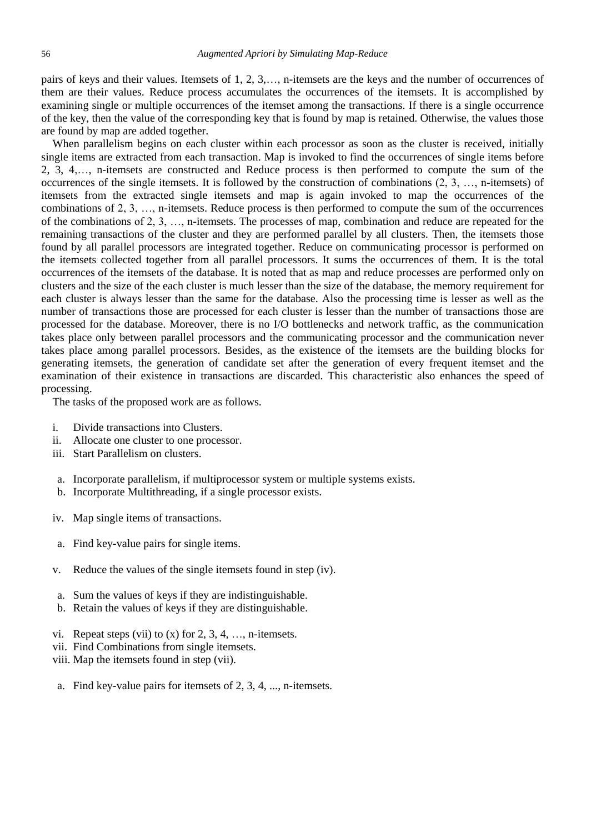pairs of keys and their values. Itemsets of 1, 2, 3,…, n-itemsets are the keys and the number of occurrences of them are their values. Reduce process accumulates the occurrences of the itemsets. It is accomplished by examining single or multiple occurrences of the itemset among the transactions. If there is a single occurrence of the key, then the value of the corresponding key that is found by map is retained. Otherwise, the values those are found by map are added together.

When parallelism begins on each cluster within each processor as soon as the cluster is received, initially single items are extracted from each transaction. Map is invoked to find the occurrences of single items before 2, 3, 4,…, n-itemsets are constructed and Reduce process is then performed to compute the sum of the occurrences of the single itemsets. It is followed by the construction of combinations (2, 3, …, n-itemsets) of itemsets from the extracted single itemsets and map is again invoked to map the occurrences of the combinations of 2, 3, …, n-itemsets. Reduce process is then performed to compute the sum of the occurrences of the combinations of 2, 3, …, n-itemsets. The processes of map, combination and reduce are repeated for the remaining transactions of the cluster and they are performed parallel by all clusters. Then, the itemsets those found by all parallel processors are integrated together. Reduce on communicating processor is performed on the itemsets collected together from all parallel processors. It sums the occurrences of them. It is the total occurrences of the itemsets of the database. It is noted that as map and reduce processes are performed only on clusters and the size of the each cluster is much lesser than the size of the database, the memory requirement for each cluster is always lesser than the same for the database. Also the processing time is lesser as well as the number of transactions those are processed for each cluster is lesser than the number of transactions those are processed for the database. Moreover, there is no I/O bottlenecks and network traffic, as the communication takes place only between parallel processors and the communicating processor and the communication never takes place among parallel processors. Besides, as the existence of the itemsets are the building blocks for generating itemsets, the generation of candidate set after the generation of every frequent itemset and the examination of their existence in transactions are discarded. This characteristic also enhances the speed of processing.

The tasks of the proposed work are as follows.

- i. Divide transactions into Clusters.
- ii. Allocate one cluster to one processor.
- iii. Start Parallelism on clusters.
- a. Incorporate parallelism, if multiprocessor system or multiple systems exists.
- b. Incorporate Multithreading, if a single processor exists.
- iv. Map single items of transactions.
- a. Find key-value pairs for single items.
- v. Reduce the values of the single itemsets found in step (iv).
- a. Sum the values of keys if they are indistinguishable.
- b. Retain the values of keys if they are distinguishable.
- vi. Repeat steps (vii) to  $(x)$  for  $2, 3, 4, \ldots$ , n-itemsets.
- vii. Find Combinations from single itemsets.
- viii. Map the itemsets found in step (vii).
- a. Find key-value pairs for itemsets of 2, 3, 4, ..., n-itemsets.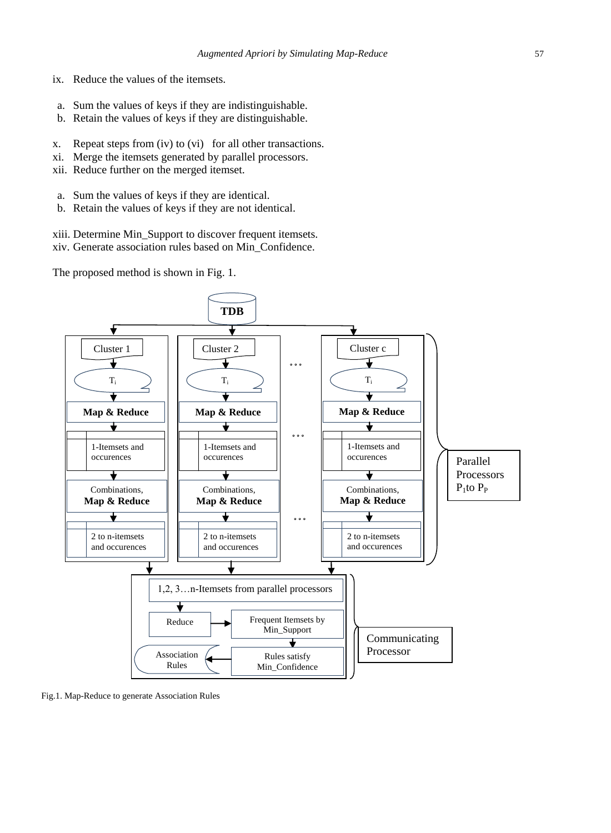- ix. Reduce the values of the itemsets.
- a. Sum the values of keys if they are indistinguishable.
- b. Retain the values of keys if they are distinguishable.
- x. Repeat steps from (iv) to (vi) for all other transactions.
- xi. Merge the itemsets generated by parallel processors.
- xii. Reduce further on the merged itemset.
- a. Sum the values of keys if they are identical.
- b. Retain the values of keys if they are not identical.
- xiii. Determine Min\_Support to discover frequent itemsets.
- xiv. Generate association rules based on Min\_Confidence.

The proposed method is shown in Fig. 1.



Fig.1. Map-Reduce to generate Association Rules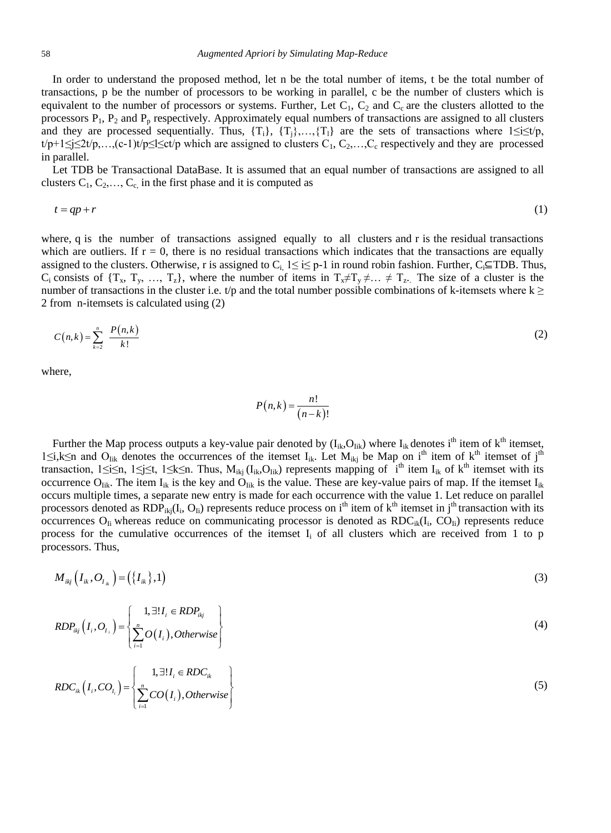In order to understand the proposed method, let n be the total number of items, t be the total number of transactions, p be the number of processors to be working in parallel, c be the number of clusters which is equivalent to the number of processors or systems. Further, Let  $C_1$ ,  $C_2$  and  $C_c$  are the clusters allotted to the processors  $P_1$ ,  $P_2$  and  $P_p$  respectively. Approximately equal numbers of transactions are assigned to all clusters and they are processed sequentially. Thus,  $\{T_i\}$ ,  $\{T_i\}$ ,  $\{T_i\}$  are the sets of transactions where  $1 \le i \le t/p$ ,  $t/p+1 \leq i \leq 2t/p,...(c-1)t/p \leq l \leq c t/p$  which are assigned to clusters  $C_1, C_2,...,C_c$  respectively and they are processed in parallel.

Let TDB be Transactional DataBase. It is assumed that an equal number of transactions are assigned to all clusters  $C_1, C_2, \ldots, C_c$  in the first phase and it is computed as

$$
t = qp + r \tag{1}
$$

where, q is the number of transactions assigned equally to all clusters and r is the residual transactions which are outliers. If  $r = 0$ , there is no residual transactions which indicates that the transactions are equally assigned to the clusters. Otherwise, r is assigned to C<sub>i</sub>,  $1 \le i \le p-1$  in round robin fashion. Further, C<sub>i</sub>⊆TDB. Thus, C<sub>i</sub> consists of  $\{T_x, T_y, ..., T_z\}$ , where the number of items in  $T_x \neq T_y \neq ... \neq T_z$ . The size of a cluster is the number of transactions in the cluster i.e. t/p and the total number possible combinations of k-itemsets where  $k \geq$ 2 from n-itemsets is calculated using (2)

$$
C(n,k) = \sum_{k=2}^{n} \frac{P(n,k)}{k!}
$$
 (2)

where,

$$
P(n,k) = \frac{n!}{(n-k)!}
$$

Further the Map process outputs a key-value pair denoted by  $(I_{ik}, O_{lik})$  where  $I_{ik}$  denotes i<sup>th</sup> item of  $k^{th}$  itemset, 1≤i,k≤n and O<sub>lik</sub> denotes the occurrences of the itemset I<sub>ik</sub>. Let M<sub>ikj</sub> be Map on i<sup>th</sup> item of k<sup>th</sup> itemset of j<sup>th</sup> transaction,  $1 \le i \le n$ ,  $1 \le j \le t$ ,  $1 \le k \le n$ . Thus,  $M_{ikj} (I_{ik}, O_{lik})$  represents mapping of  $\hat{i}^{th}$  item  $I_{ik}$  of  $k^{th}$  itemset with its occurrence O<sub>Iik</sub>. The item I<sub>ik</sub> is the key and O<sub>Iik</sub> is the value. These are key-value pairs of map. If the itemset I<sub>ik</sub> occurs multiple times, a separate new entry is made for each occurrence with the value 1. Let reduce on parallel processors denoted as  $RDP_{ikj}(I_i, O_{I_i})$  represents reduce process on i<sup>th</sup> item of  $k<sup>th</sup>$  itemset in j<sup>th</sup> transaction with its occurrences  $O_{li}$  whereas reduce on communicating processor is denoted as  $RDC_{ik}(I_i, CO_{li})$  represents reduce process for the cumulative occurrences of the itemset  $I_i$  of all clusters which are received from 1 to p processors. Thus,

$$
M_{ikj}\left(I_{ik},O_{I_{ik}}\right) = \left(\left\{I_{ik}\right\},1\right) \tag{3}
$$

$$
RDP_{ikj}\left(I_i, O_{I_i}\right) = \left\{\sum_{i=1}^{n} O\left(I_i\right), Otherwise\right\}
$$
\n
$$
(4)
$$

$$
RDC_{ik}\left(I_{i},CO_{I_{i}}\right) = \left\{\sum_{i=1}^{n} CO(I_{i}), Otherwise\right\}
$$
\n
$$
(5)
$$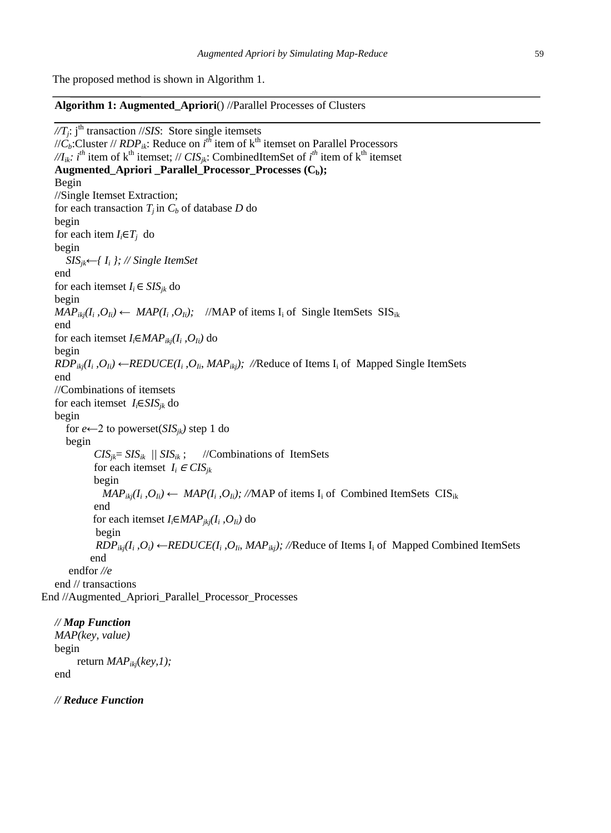The proposed method is shown in Algorithm 1.

**Algorithm 1: Augmented\_Apriori**() //Parallel Processes of Clusters

//T<sub>*j*</sub>: j<sup>th</sup> transaction //*SIS*: Store single itemsets // $\dot{C}_b$ :Cluster // *RDP*<sub>*ik*</sub>: Reduce on *i*<sup>th</sup> item of k<sup>th</sup> itemset on Parallel Processors  $\mathcal{M}_{ik}$ *: i*<sup>th</sup> item of k<sup>th</sup> itemset; // *CIS<sub>jk</sub>*: CombinedItemSet of *i*<sup>th</sup> item of k<sup>th</sup> itemset **Augmented Apriori Parallel Processor Processes**  $(C_b)$ ; Begin //Single Itemset Extraction; for each transaction *T<sup>j</sup>* in *C<sup>b</sup>* of database *D* do begin for each item  $I_i \in T_j$  do begin  *SISjk*←*{ I<sup>i</sup> }; // Single ItemSet* end for each itemset  $I_i \in SIS_{ik}$  do begin  $MAP_{ikj}(I_i, O_{Ii}) \leftarrow MAP(I_i, O_{Ii})$ ; //MAP of items I<sub>i</sub> of Single ItemSets SIS<sub>ik</sub> end for each itemset *Ii*∈*MAPikj(I<sup>i</sup> ,OIi)* do begin  $RDP_{ikj}(I_i, O_{Ii}) \leftarrow REDUCE(I_i, O_{Ii}, MAP_{ikj})$ ; //Reduce of Items I<sub>i</sub> of Mapped Single ItemSets end //Combinations of itemsets for each itemset *Ii*∈*SISjk* do begin for *e*←2 to powerset( $SIS<sub>ik</sub>$ *)* step 1 do begin  $CIS_{jk} = SIS_{ik}$  ||  $SIS_{ik}$ ; //Combinations of ItemSets for each itemset  $I_i \in CIS_{ik}$  begin *MAP*<sub>*ikj</sub>*( $I_i$ , $O_{I_i}$ ) ← *MAP*( $I_i$ , $O_{I_i}$ ); //MAP of items  $I_i$  of Combined ItemSets CIS<sub>ik</sub></sub> end for each itemset  $I_i \in MAP_{jkj}(I_i, O_{Ii})$  do begin *RDP*<sub>*ikj</sub>*( $I_i$ , $O_i$ ) ← *REDUCE*( $I_i$ , $O_i$ <sub>*i*</sub>, *MAP*<sub>*ikj</sub>*); *//*Reduce of Items  $I_i$  of Mapped Combined ItemSets</sub></sub> end endfor *//e* end // transactions End //Augmented\_Apriori\_Parallel\_Processor\_Processes

*// Map Function MAP(key, value)* begin return *MAPikj*(*key,1);* end

*// Reduce Function*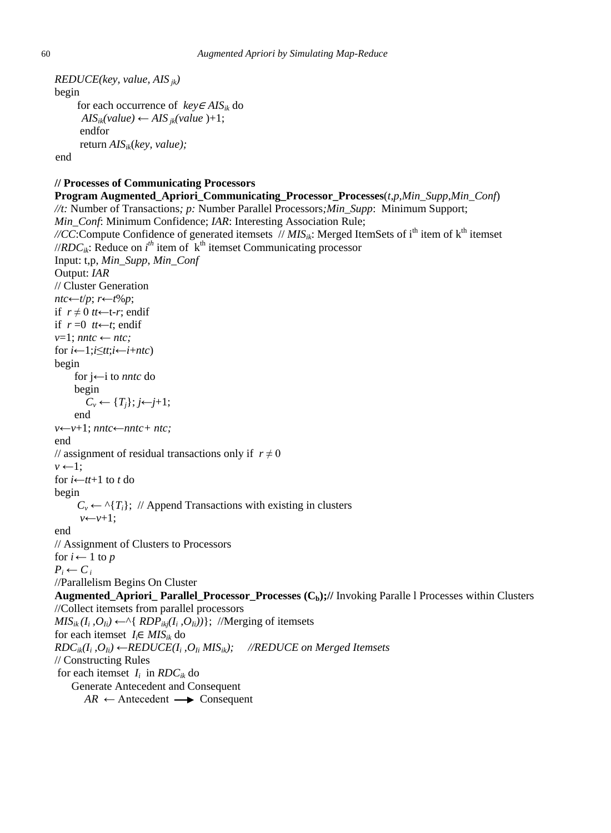```
REDUCE(key, value, AIS jk)
begin
      for each occurrence of key \in AIS_{ik} do
      AIS_{ik}(value) \leftarrow AIS_{ik}(value) + 1; endfor
       return AISik(key, value);
 end
```
### **// Processes of Communicating Processors**

**Program Augmented\_Apriori\_Communicating\_Processor\_Processes**(*t,p,Min\_Supp*,*Min\_Conf*) *//t:* Number of Transactions*; p:* Number Parallel Processors*;Min\_Supp*: Minimum Support; *Min\_Conf*: Minimum Confidence; *IAR*: Interesting Association Rule; //CC:Compute Confidence of generated itemsets //  $MIS_{ik}$ : Merged ItemSets of i<sup>th</sup> item of k<sup>th</sup> itemset //*RDC<sub>ik</sub>*: Reduce on  $i<sup>th</sup>$  item of  $k<sup>th</sup>$  itemset Communicating processor Input: t,p, *Min\_Supp*, *Min\_Conf* Output: *IAR* // Cluster Generation *ntc*←*t*/*p*; *r*←*t*%*p*; if  $r ≠ 0$  *tt*←t-*r*; endif if  $r = 0$  *tt*←*t*; endif  $v=1$ ; *nntc* ← *ntc*; for  $i \leftarrow 1$ ; $i \leq tt$ ; $i \leftarrow i + ntc$ begin for j←i to *nntc* do begin  $C_v \leftarrow \{T_j\}; j \leftarrow j+1;$  end *v*←*v*+1; *nntc*←*nntc+ ntc;* end // assignment of residual transactions only if  $r \neq 0$  $v \leftarrow 1$ : for  $i \leftarrow tt+1$  to  $t$  do begin  $C_v \leftarrow \gamma \{T_i\}$ ; // Append Transactions with existing in clusters  *v*←*v*+1; end // Assignment of Clusters to Processors for  $i \leftarrow 1$  to *p*  $P_i \leftarrow C_i$ //Parallelism Begins On Cluster **Augmented\_Apriori\_ Parallel\_Processor\_Processes (Cb);//** Invoking Paralle l Processes within Clusters //Collect itemsets from parallel processors  $MIS_{ik}(I_i, O_{Ii}) \leftarrow \land \{ RDP_{ikj}(I_i, O_{Ii}))\};$  //Merging of itemsets for each itemset  $I_i \in MIS_{ik}$  do *RDCik(I<sup>i</sup> ,OIi)* ←*REDUCE(I<sup>i</sup> ,OIi MISik); //REDUCE on Merged Itemsets* // Constructing Rules for each itemset  $I_i$  in  $RDC_{ik}$  do Generate Antecedent and Consequent  $AR \leftarrow$  Antecedent  $\longrightarrow$  Consequent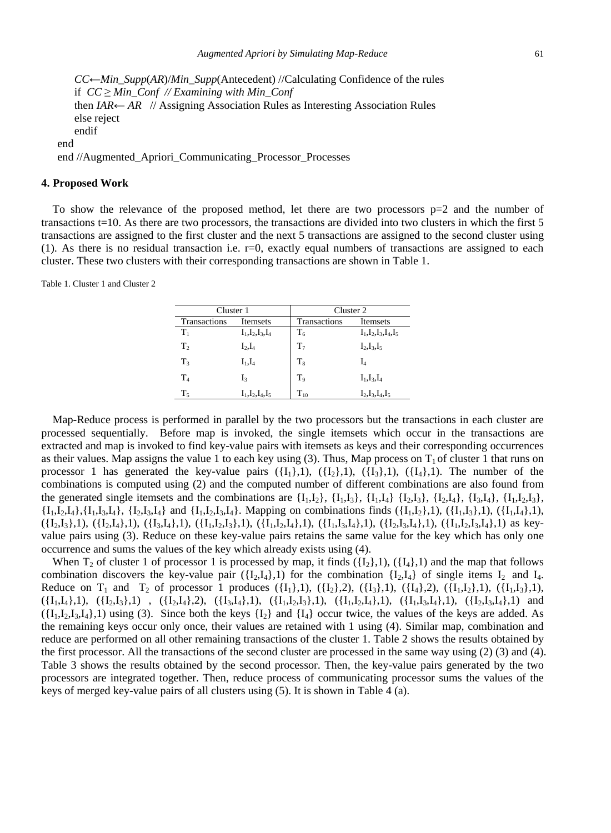*CC*←*Min\_Supp*(*AR*)/*Min\_Supp*(Antecedent) //Calculating Confidence of the rules if *CC* ≥ *Min\_Conf // Examining with Min\_Conf* then *IAR*← *AR* // Assigning Association Rules as Interesting Association Rules else reject endif end end //Augmented\_Apriori\_Communicating\_Processor\_Processes

#### **4. Proposed Work**

To show the relevance of the proposed method, let there are two processors  $p=2$  and the number of transactions t=10. As there are two processors, the transactions are divided into two clusters in which the first 5 transactions are assigned to the first cluster and the next 5 transactions are assigned to the second cluster using  $(1)$ . As there is no residual transaction i.e.  $r=0$ , exactly equal numbers of transactions are assigned to each cluster. These two clusters with their corresponding transactions are shown in Table 1.

Table 1. Cluster 1 and Cluster 2

| Cluster 1      |                      | Cluster 2      |                           |  |
|----------------|----------------------|----------------|---------------------------|--|
| Transactions   | Itemsets             | Transactions   | Itemsets                  |  |
| $T_1$          | $I_1, I_2, I_3, I_4$ | $T_6$          | $I_1, I_2, I_3, I_4, I_5$ |  |
| T <sub>2</sub> | $I_2, I_4$           | T <sub>7</sub> | $I_2, I_3, I_5$           |  |
| $T_3$          | $I_1,I_4$            | $T_{8}$        | I,                        |  |
| $T_4$          | I3                   | T,             | $I_1, I_3, I_4$           |  |
| $T_{5}$        | $I_1, I_2, I_4, I_5$ | $T_{10}$       | $I_2, I_3, I_4, I_5$      |  |

Map-Reduce process is performed in parallel by the two processors but the transactions in each cluster are processed sequentially. Before map is invoked, the single itemsets which occur in the transactions are extracted and map is invoked to find key-value pairs with itemsets as keys and their corresponding occurrences as their values. Map assigns the value 1 to each key using (3). Thus, Map process on  $T_1$  of cluster 1 that runs on processor 1 has generated the key-value pairs  $({I_1},1)$ ,  $({I_2},1)$ ,  $({I_3},1)$ ,  $({I_4},1)$ . The number of the combinations is computed using (2) and the computed number of different combinations are also found from the generated single itemsets and the combinations are  $\{I_1, I_2\}$ ,  $\{I_1, I_3\}$ ,  $\{I_1, I_4\}$ ,  $\{I_2, I_3\}$ ,  $\{I_3, I_4\}$ ,  $\{I_1, I_2, I_3\}$ ,  ${I_1,I_2,I_4}, {I_1,I_3,I_4}, {I_2,I_3,I_4}$  and  ${I_1,I_2,I_3,I_4}$ . Mapping on combinations finds  $({I_1,I_2},1), ({I_1,I_3},1), ({I_1,I_4},1),$  $({I_2,I_3},1), ({I_2,I_4},1), ({I_3,I_4},1), ({I_1,I_2,I_3},1), ({I_1,I_2,I_4},1), ({I_1,I_3,I_4},1), ({I_2,I_3,I_4},1), ({I_1,I_2,I_3,I_4},1)$  as keyvalue pairs using (3). Reduce on these key-value pairs retains the same value for the key which has only one occurrence and sums the values of the key which already exists using (4).

When  $T_2$  of cluster 1 of processor 1 is processed by map, it finds  $({I_2},1)$ ,  $({I_4},1)$  and the map that follows combination discovers the key-value pair  $({I_2,I_4},1)$  for the combination  ${I_2,I_4}$  of single items  $I_2$  and  $I_4$ . Reduce on  $T_1$  and  $T_2$  of processor 1 produces ({ $I_1$ },1), ({ $I_2$ },2), ({ $I_3$ },1), ({ $I_4$ },2), ({ $I_1$ , $I_2$ },1), ({ $I_1$ , $I_3$ },1),  $({I_1,I_4},1), ({I_2,I_3},1), ({I_2,I_4},2), ({I_3,I_4},1), ({I_1,I_2,I_3},1), ({I_1,I_2,I_4},1), ({I_1,I_3,I_4},1), ({I_2,I_3,I_4},1)$  and  $({I_1,I_2,I_3,I_4},1)$  using (3). Since both the keys  ${I_2}$  and  ${I_4}$  occur twice, the values of the keys are added. As the remaining keys occur only once, their values are retained with 1 using (4). Similar map, combination and reduce are performed on all other remaining transactions of the cluster 1. Table 2 shows the results obtained by the first processor. All the transactions of the second cluster are processed in the same way using (2) (3) and (4). Table 3 shows the results obtained by the second processor. Then, the key-value pairs generated by the two processors are integrated together. Then, reduce process of communicating processor sums the values of the keys of merged key-value pairs of all clusters using (5). It is shown in Table 4 (a).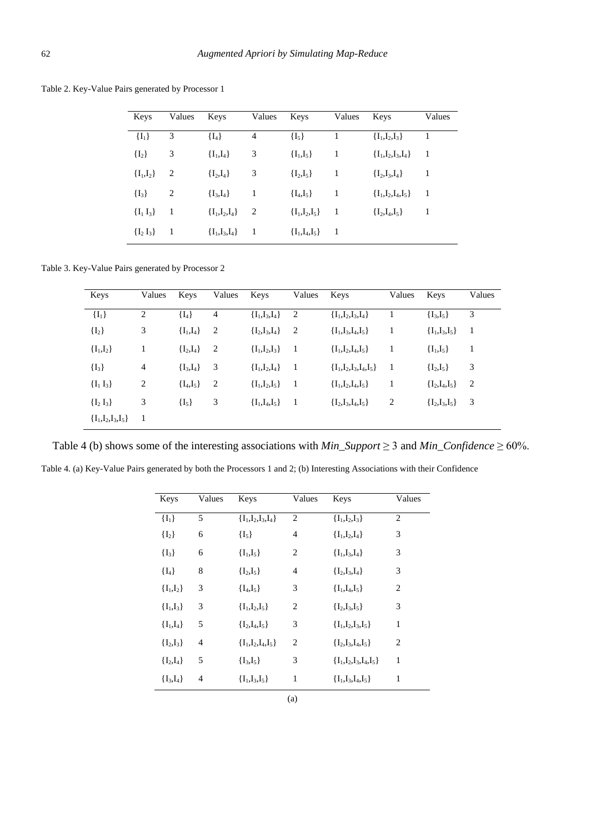Table 2. Key-Value Pairs generated by Processor 1

| Keys          | Values Keys    |                 | Values Keys |                       | Values | Keys                | Values         |
|---------------|----------------|-----------------|-------------|-----------------------|--------|---------------------|----------------|
| $\{I_1\}$     | 3              | $\{I_4\}$       | 4           | $\{I_5\}$             | 1      | ${I_1,I_2,I_3}$     | -1             |
| $\{I_2\}$     | 3              | ${I_1,I_4}$     | 3           | ${I_1,I_5}$           | 1      | ${I_1,I_2,I_3,I_4}$ | $\overline{1}$ |
| ${I_1,I_2}$   | 2              | ${I_2,I_4}$     | 3           | ${I_2,I_5}$           | 1      | ${I_2, I_3, I_4}$   | 1              |
| $\{I_3\}$     | $\overline{2}$ | ${I_3,I_4}$     | 1           | ${I_4, I_5}$          | -1     | ${I_1,I_2,I_4,I_5}$ | - 1            |
| ${I_1 I_3}$   | -1             | ${I_1,I_2,I_4}$ | 2           | ${I_1,I_2,I_5}$       | -1     | ${I_2, I_4, I_5}$   | 1              |
| $\{I_2 I_3\}$ | -1             | ${I_1,I_3,I_4}$ | -1          | $\{I_1, I_4, I_5\}$ 1 |        |                     |                |

Table 3. Key-Value Pairs generated by Processor 2

| Keys                | Values | Keys         | Values | Keys                | Values | Keys                    | Values         | Keys              | Values                  |
|---------------------|--------|--------------|--------|---------------------|--------|-------------------------|----------------|-------------------|-------------------------|
| $\{I_1\}$           | 2      | $\{I_4\}$    | 4      | ${I_1,I_3,I_4}$     | 2      | ${I_1,I_2,I_3,I_4}$     |                | ${I_3,I_5}$       | 3                       |
| $\{I_2\}$           | 3      | ${I_1,I_4}$  | 2      | ${I_2,I_3,I_4}$     | 2      | ${I_1,I_3,I_4,I_5}$     | 1              | ${I_1,I_3,I_5}$   | 1                       |
| ${I_1,I_2}$         | 1      | ${I_2,I_4}$  | 2      | ${I_1,I_2,I_3}$     | - 1    | ${I_1,I_2,I_4,I_5}$     | 1              | ${I_1,I_5}$       | 1                       |
| $\{I_3\}$           | 4      | ${I_3,I_4}$  | 3      | $\{I_1, I_2, I_4\}$ | - 1    | ${I_1,I_2,I_3,I_4,I_5}$ | - 1            | ${I_2,I_5}$       | 3                       |
| ${I_1 I_3}$         | 2      | ${I_4, I_5}$ | 2      | ${I_1,I_2,I_5}$     | - 1    | ${I_1,I_2,I_4,I_5}$     | 1              | ${I_2,I_4,I_5}$   | $\overline{2}$          |
| ${I_2 I_3}$         | 3      | $\{I_5\}$    | 3      | ${I_1,I_4,I_5}$     | - 1    | ${I_2,I_3,I_4,I_5}$     | $\overline{2}$ | ${I_2, I_3, I_5}$ | $\overline{\mathbf{3}}$ |
| ${I_1,I_2,I_3,I_5}$ | -1     |              |        |                     |        |                         |                |                   |                         |

Table 4 (b) shows some of the interesting associations with *Min\_Support*  $\geq$  3 and *Min\_Confidence*  $\geq$  60%.

| Keys        | Values         | Keys                | Values         | Keys                    | Values         |
|-------------|----------------|---------------------|----------------|-------------------------|----------------|
| $\{I_1\}$   | 5              | ${I_1,I_2,I_3,I_4}$ | $\overline{2}$ | ${I_1,I_2,I_3}$         | $\mathfrak{2}$ |
| $\{I_2\}$   | 6              | $\{I_5\}$           | 4              | ${I_1,I_2,I_4}$         | 3              |
| $\{I_3\}$   | 6              | ${I_1,I_5}$         | 2              | ${I_1,I_3,I_4}$         | 3              |
| $\{I_4\}$   | 8              | ${I_2,I_5}$         | $\overline{4}$ | ${I_2,I_3,I_4}$         | 3              |
| ${I_1,I_2}$ | 3              | ${I_4, I_5}$        | 3              | ${I_1,I_4,I_5}$         | $\overline{2}$ |
| ${I_1,I_3}$ | 3              | ${I_1,I_2,I_5}$     | 2              | ${I_2,I_3,I_5}$         | 3              |
| ${I_1,I_4}$ | 5              | ${I_2, I_4, I_5}$   | 3              | ${I_1,I_2,I_3,I_5}$     | $\mathbf{1}$   |
| ${I_2,I_3}$ | 4              | ${I_1,I_2,I_4,I_5}$ | $\overline{2}$ | ${I_2,I_3,I_4,I_5}$     | $\overline{2}$ |
| ${I_2,I_4}$ | 5              | ${I_3, I_5}$        | 3              | ${I_1,I_2,I_3,I_4,I_5}$ | $\mathbf{1}$   |
| ${I_3,I_4}$ | $\overline{4}$ | ${I_1,I_3,I_5}$     | 1              | ${I_1,I_3,I_4,I_5}$     | 1              |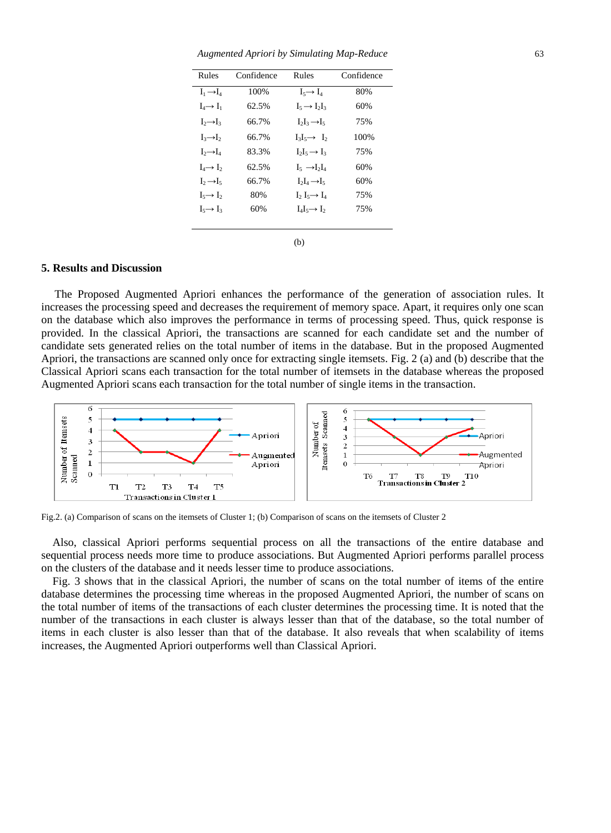*Augmented Apriori by Simulating Map-Reduce* 63

| Rules                 | Confidence | Rules                     | Confidence |
|-----------------------|------------|---------------------------|------------|
| $I_1 \rightarrow I_4$ | 100%       | $I_5 \rightarrow L_1$     | 80%        |
| $I_4 \rightarrow I_1$ | 62.5%      | $I_5 \rightarrow I_2I_3$  | 60%        |
| $I_2 \rightarrow I_3$ | 66.7%      | $I_2I_3\rightarrow I_5$   | 75%        |
| $I_3 \rightarrow I_2$ | 66.7%      | $I_3I_5 \rightarrow I_2$  | 100%       |
| $I_2 \rightarrow I_4$ | 83.3%      | $I_2I_5 \rightarrow I_3$  | 75%        |
| $I_4 \rightarrow I_2$ | 62.5%      | $I_5 \rightarrow I_2I_4$  | 60%        |
| $I_2 \rightarrow I_5$ | 66.7%      | $I_2I_4 \rightarrow I_5$  | 60%        |
| $I_5 \rightarrow I_2$ | 80%        | $I_2 I_5 \rightarrow I_4$ | 75%        |
| $I_5 \rightarrow I_3$ | 60%        | $I_4I_5 \rightarrow I_2$  | 75%        |
|                       |            |                           |            |
|                       |            | (b)                       |            |

# **5. Results and Discussion**

The Proposed Augmented Apriori enhances the performance of the generation of association rules. It increases the processing speed and decreases the requirement of memory space. Apart, it requires only one scan on the database which also improves the performance in terms of processing speed. Thus, quick response is provided. In the classical Apriori, the transactions are scanned for each candidate set and the number of candidate sets generated relies on the total number of items in the database. But in the proposed Augmented Apriori, the transactions are scanned only once for extracting single itemsets. Fig. 2 (a) and (b) describe that the Classical Apriori scans each transaction for the total number of itemsets in the database whereas the proposed Augmented Apriori scans each transaction for the total number of single items in the transaction.



Fig.2. (a) Comparison of scans on the itemsets of Cluster 1; (b) Comparison of scans on the itemsets of Cluster 2

Also, classical Apriori performs sequential process on all the transactions of the entire database and sequential process needs more time to produce associations. But Augmented Apriori performs parallel process on the clusters of the database and it needs lesser time to produce associations.

Fig. 3 shows that in the classical Apriori, the number of scans on the total number of items of the entire database determines the processing time whereas in the proposed Augmented Apriori, the number of scans on the total number of items of the transactions of each cluster determines the processing time. It is noted that the number of the transactions in each cluster is always lesser than that of the database, so the total number of items in each cluster is also lesser than that of the database. It also reveals that when scalability of items increases, the Augmented Apriori outperforms well than Classical Apriori.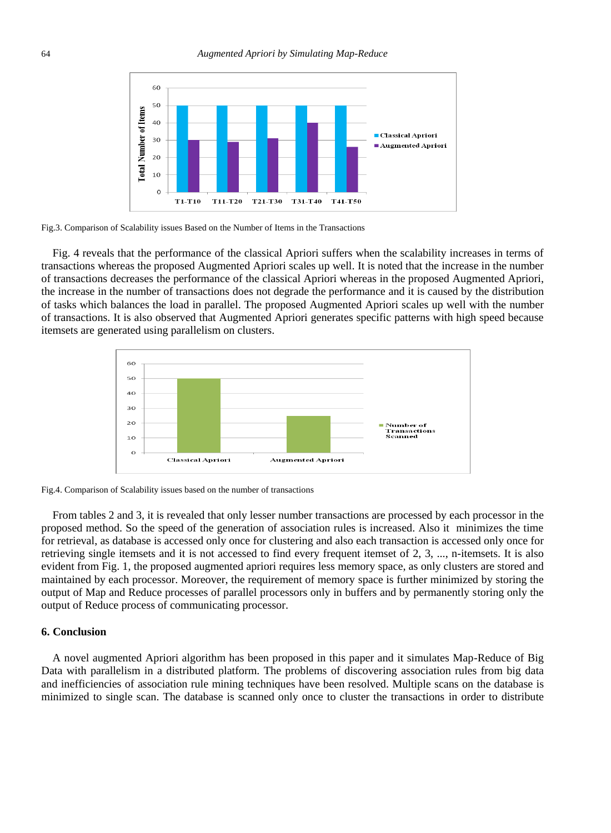

Fig.3. Comparison of Scalability issues Based on the Number of Items in the Transactions

Fig. 4 reveals that the performance of the classical Apriori suffers when the scalability increases in terms of transactions whereas the proposed Augmented Apriori scales up well. It is noted that the increase in the number of transactions decreases the performance of the classical Apriori whereas in the proposed Augmented Apriori, the increase in the number of transactions does not degrade the performance and it is caused by the distribution of tasks which balances the load in parallel. The proposed Augmented Apriori scales up well with the number of transactions. It is also observed that Augmented Apriori generates specific patterns with high speed because itemsets are generated using parallelism on clusters.



Fig.4. Comparison of Scalability issues based on the number of transactions

From tables 2 and 3, it is revealed that only lesser number transactions are processed by each processor in the proposed method. So the speed of the generation of association rules is increased. Also it minimizes the time for retrieval, as database is accessed only once for clustering and also each transaction is accessed only once for retrieving single itemsets and it is not accessed to find every frequent itemset of 2, 3, ..., n-itemsets. It is also evident from Fig. 1, the proposed augmented apriori requires less memory space, as only clusters are stored and maintained by each processor. Moreover, the requirement of memory space is further minimized by storing the output of Map and Reduce processes of parallel processors only in buffers and by permanently storing only the output of Reduce process of communicating processor.

# **6. Conclusion**

A novel augmented Apriori algorithm has been proposed in this paper and it simulates Map-Reduce of Big Data with parallelism in a distributed platform. The problems of discovering association rules from big data and inefficiencies of association rule mining techniques have been resolved. Multiple scans on the database is minimized to single scan. The database is scanned only once to cluster the transactions in order to distribute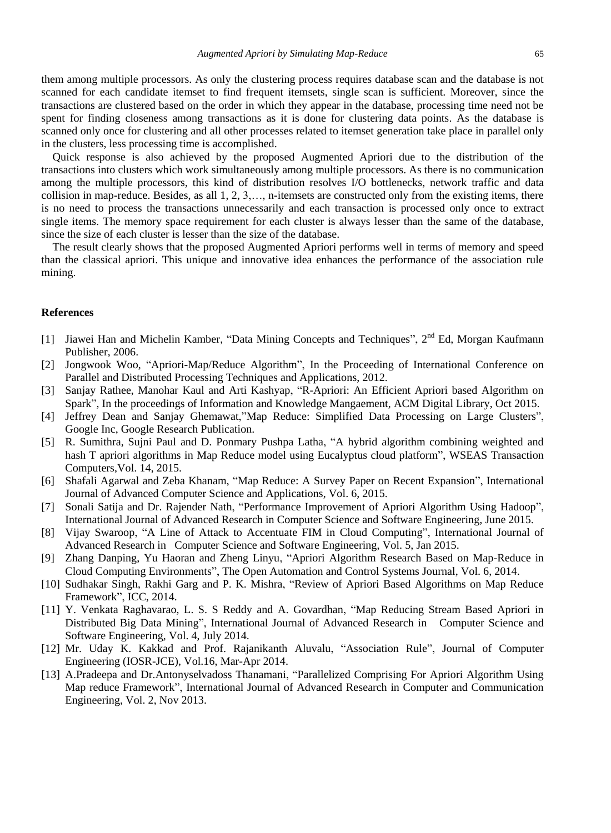them among multiple processors. As only the clustering process requires database scan and the database is not scanned for each candidate itemset to find frequent itemsets, single scan is sufficient. Moreover, since the transactions are clustered based on the order in which they appear in the database, processing time need not be spent for finding closeness among transactions as it is done for clustering data points. As the database is scanned only once for clustering and all other processes related to itemset generation take place in parallel only in the clusters, less processing time is accomplished.

Quick response is also achieved by the proposed Augmented Apriori due to the distribution of the transactions into clusters which work simultaneously among multiple processors. As there is no communication among the multiple processors, this kind of distribution resolves I/O bottlenecks, network traffic and data collision in map-reduce. Besides, as all 1, 2, 3,…, n-itemsets are constructed only from the existing items, there is no need to process the transactions unnecessarily and each transaction is processed only once to extract single items. The memory space requirement for each cluster is always lesser than the same of the database, since the size of each cluster is lesser than the size of the database.

The result clearly shows that the proposed Augmented Apriori performs well in terms of memory and speed than the classical apriori. This unique and innovative idea enhances the performance of the association rule mining.

#### **References**

- [1] Jiawei Han and Michelin Kamber, "Data Mining Concepts and Techniques", 2<sup>nd</sup> Ed, Morgan Kaufmann Publisher, 2006.
- [2] Jongwook Woo, "Apriori-Map/Reduce Algorithm", In the Proceeding of International Conference on Parallel and Distributed Processing Techniques and Applications, 2012.
- [3] Sanjay Rathee, Manohar Kaul and Arti Kashyap, "R-Apriori: An Efficient Apriori based Algorithm on Spark", In the proceedings of Information and Knowledge Mangaement, ACM Digital Library, Oct 2015.
- [4] Jeffrey Dean and Sanjay Ghemawat,"Map Reduce: Simplified Data Processing on Large Clusters", Google Inc, Google Research Publication.
- [5] R. Sumithra, Sujni Paul and D. Ponmary Pushpa Latha, "A hybrid algorithm combining weighted and hash T apriori algorithms in Map Reduce model using Eucalyptus cloud platform", WSEAS Transaction Computers,Vol. 14, 2015.
- [6] Shafali Agarwal and Zeba Khanam, "Map Reduce: A Survey Paper on Recent Expansion", International Journal of Advanced Computer Science and Applications, Vol. 6, 2015.
- [7] Sonali Satija and Dr. Rajender Nath, "Performance Improvement of Apriori Algorithm Using Hadoop", International Journal of Advanced Research in Computer Science and Software Engineering, June 2015.
- [8] Vijay Swaroop, "A Line of Attack to Accentuate FIM in Cloud Computing", International Journal of Advanced Research in Computer Science and Software Engineering, Vol. 5, Jan 2015.
- [9] Zhang Danping, Yu Haoran and Zheng Linyu, "Apriori Algorithm Research Based on Map-Reduce in Cloud Computing Environments", The Open Automation and Control Systems Journal, Vol. 6, 2014.
- [10] Sudhakar Singh, Rakhi Garg and P. K. Mishra, "Review of Apriori Based Algorithms on Map Reduce Framework", ICC, 2014.
- [11] Y. Venkata Raghavarao, L. S. S Reddy and A. Govardhan, "Map Reducing Stream Based Apriori in Distributed Big Data Mining", International Journal of Advanced Research in Computer Science and Software Engineering, Vol. 4, July 2014.
- [12] Mr. Uday K. Kakkad and Prof. Rajanikanth Aluvalu, "Association Rule", Journal of Computer Engineering (IOSR-JCE), Vol.16, Mar-Apr 2014.
- [13] A.Pradeepa and Dr.Antonyselvadoss Thanamani, "Parallelized Comprising For Apriori Algorithm Using Map reduce Framework", International Journal of Advanced Research in Computer and Communication Engineering, Vol. 2, Nov 2013.